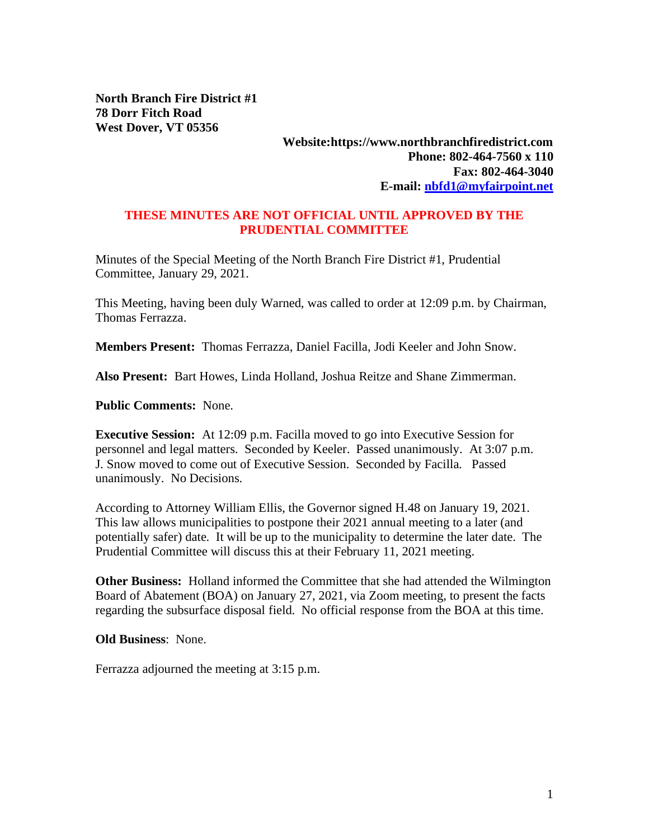**North Branch Fire District #1 78 Dorr Fitch Road West Dover, VT 05356**

## **Website:https://www.northbranchfiredistrict.com Phone: 802-464-7560 x 110 Fax: 802-464-3040 E-mail: [nbfd1@myfairpoint.net](mailto:nbfd1@myfairpoint.net)**

## **THESE MINUTES ARE NOT OFFICIAL UNTIL APPROVED BY THE PRUDENTIAL COMMITTEE**

Minutes of the Special Meeting of the North Branch Fire District #1, Prudential Committee, January 29, 2021.

This Meeting, having been duly Warned, was called to order at 12:09 p.m. by Chairman, Thomas Ferrazza.

**Members Present:** Thomas Ferrazza, Daniel Facilla, Jodi Keeler and John Snow.

**Also Present:** Bart Howes, Linda Holland, Joshua Reitze and Shane Zimmerman.

**Public Comments:** None.

**Executive Session:** At 12:09 p.m. Facilla moved to go into Executive Session for personnel and legal matters. Seconded by Keeler. Passed unanimously. At 3:07 p.m. J. Snow moved to come out of Executive Session. Seconded by Facilla. Passed unanimously. No Decisions.

According to Attorney William Ellis, the Governor signed H.48 on January 19, 2021. This law allows municipalities to postpone their 2021 annual meeting to a later (and potentially safer) date. It will be up to the municipality to determine the later date. The Prudential Committee will discuss this at their February 11, 2021 meeting.

**Other Business:** Holland informed the Committee that she had attended the Wilmington Board of Abatement (BOA) on January 27, 2021, via Zoom meeting, to present the facts regarding the subsurface disposal field. No official response from the BOA at this time.

**Old Business**: None.

Ferrazza adjourned the meeting at 3:15 p.m.